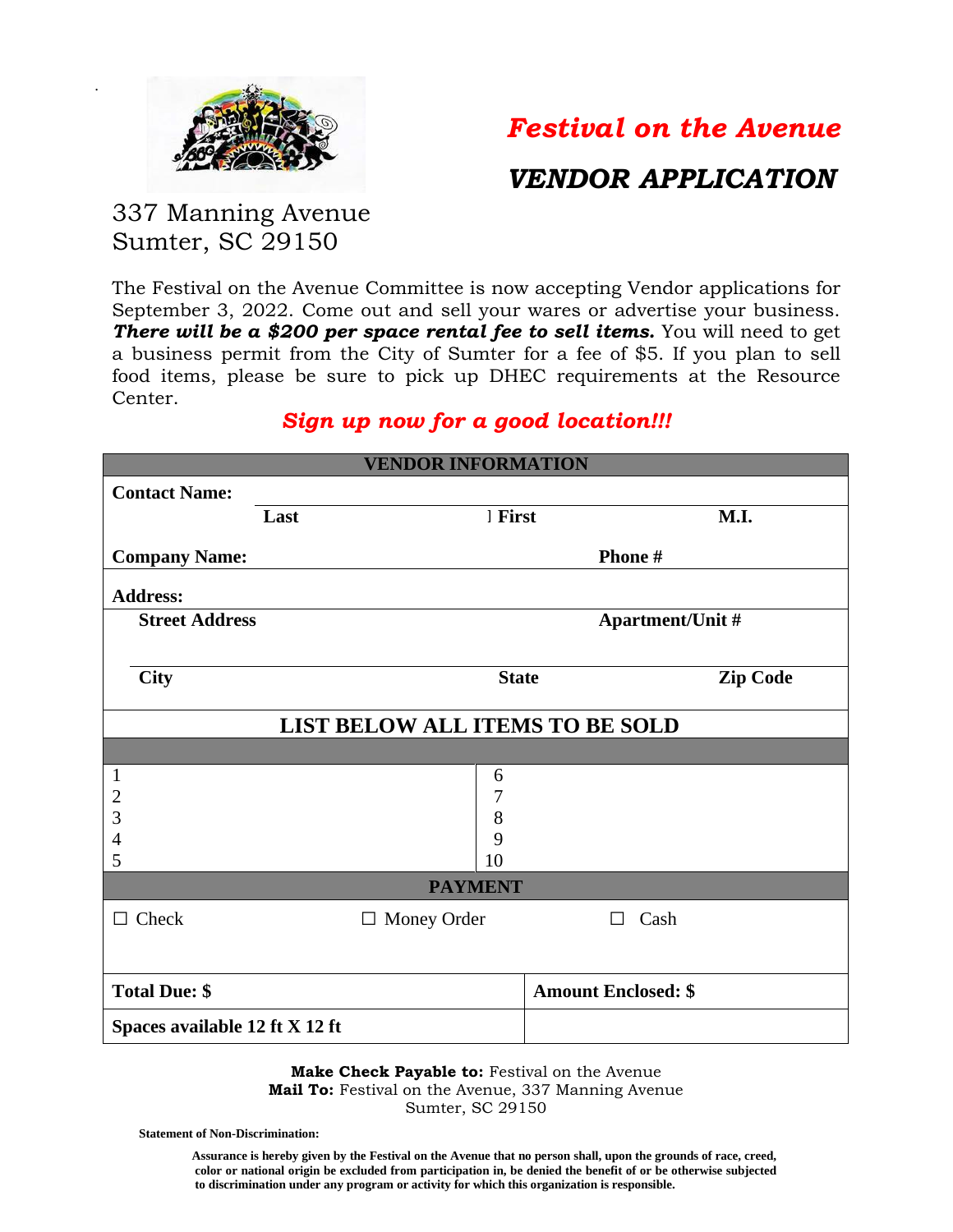

.

# *Festival on the Avenue*

## *VENDOR APPLICATION*

### 337 Manning Avenue Sumter, SC 29150

The Festival on the Avenue Committee is now accepting Vendor applications for September 3, 2022. Come out and sell your wares or advertise your business. *There will be a \$200 per space rental fee to sell items.* You will need to get a business permit from the City of Sumter for a fee of \$5. If you plan to sell food items, please be sure to pick up DHEC requirements at the Resource Center.

#### *Sign up now for a good location!!!*

| <b>VENDOR INFORMATION</b>       |      |                         |                            |                 |
|---------------------------------|------|-------------------------|----------------------------|-----------------|
| <b>Contact Name:</b>            |      |                         |                            |                 |
|                                 | Last | 1 First                 |                            | M.I.            |
| <b>Company Name:</b>            |      | Phone#                  |                            |                 |
| <b>Address:</b>                 |      |                         |                            |                 |
| <b>Street Address</b>           |      | <b>Apartment/Unit #</b> |                            |                 |
|                                 |      |                         |                            |                 |
| <b>City</b>                     |      | <b>State</b>            |                            | <b>Zip Code</b> |
|                                 |      |                         |                            |                 |
| LIST BELOW ALL ITEMS TO BE SOLD |      |                         |                            |                 |
|                                 |      |                         |                            |                 |
| $\mathbf{1}$                    |      | 6                       |                            |                 |
| $\overline{c}$                  |      | 7                       |                            |                 |
| 3                               |      | 8                       |                            |                 |
| 4<br>5                          |      | 9<br>10                 |                            |                 |
| <b>PAYMENT</b>                  |      |                         |                            |                 |
| $\Box$ Check                    |      | $\Box$ Money Order      | Cash<br>$\Box$             |                 |
|                                 |      |                         |                            |                 |
| <b>Total Due: \$</b>            |      |                         | <b>Amount Enclosed: \$</b> |                 |
| Spaces available 12 ft X 12 ft  |      |                         |                            |                 |

**Make Check Payable to: Festival on the Avenue Mail To:** Festival on the Avenue, 337 Manning Avenue Sumter, SC 29150

**Statement of Non-Discrimination:** 

 **Assurance is hereby given by the Festival on the Avenue that no person shall, upon the grounds of race, creed, color or national origin be excluded from participation in, be denied the benefit of or be otherwise subjected to discrimination under any program or activity for which this organization is responsible.**